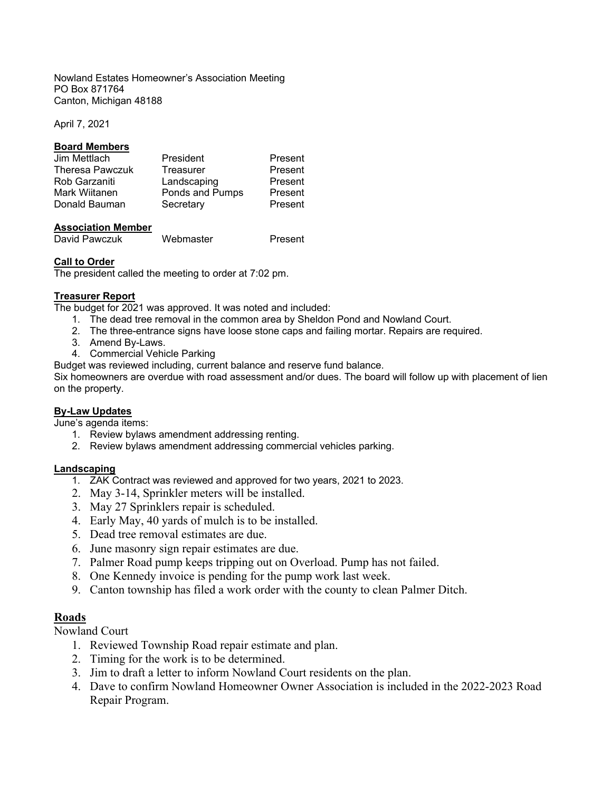Nowland Estates Homeowner's Association Meeting PO Box 871764 Canton, Michigan 48188

April 7, 2021

### **Board Members**

| President       | Present |
|-----------------|---------|
| Treasurer       | Present |
| Landscaping     | Present |
| Ponds and Pumps | Present |
| Secretary       | Present |
|                 |         |

### **Association Member**

David Pawczuk Webmaster Present

### **Call to Order**

The president called the meeting to order at 7:02 pm.

### **Treasurer Report**

The budget for 2021 was approved. It was noted and included:

- 1. The dead tree removal in the common area by Sheldon Pond and Nowland Court.
- 2. The three-entrance signs have loose stone caps and failing mortar. Repairs are required.
- 3. Amend By-Laws.
- 4. Commercial Vehicle Parking

Budget was reviewed including, current balance and reserve fund balance.

Six homeowners are overdue with road assessment and/or dues. The board will follow up with placement of lien on the property.

#### **By-Law Updates**

June's agenda items:

- 1. Review bylaws amendment addressing renting.
- 2. Review bylaws amendment addressing commercial vehicles parking.

### **Landscaping**

- 1. ZAK Contract was reviewed and approved for two years, 2021 to 2023.
- 2. May 3-14, Sprinkler meters will be installed.
- 3. May 27 Sprinklers repair is scheduled.
- 4. Early May, 40 yards of mulch is to be installed.
- 5. Dead tree removal estimates are due.
- 6. June masonry sign repair estimates are due.
- 7. Palmer Road pump keeps tripping out on Overload. Pump has not failed.
- 8. One Kennedy invoice is pending for the pump work last week.
- 9. Canton township has filed a work order with the county to clean Palmer Ditch.

# **Roads**

Nowland Court

- 1. Reviewed Township Road repair estimate and plan.
- 2. Timing for the work is to be determined.
- 3. Jim to draft a letter to inform Nowland Court residents on the plan.
- 4. Dave to confirm Nowland Homeowner Owner Association is included in the 2022-2023 Road Repair Program.